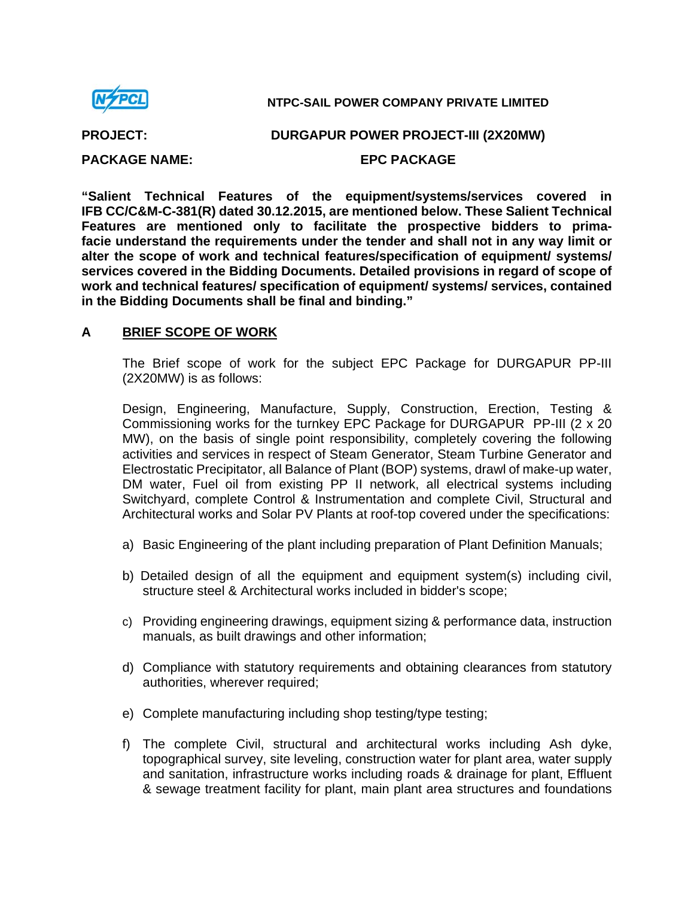

**NTPC-SAIL POWER COMPANY PRIVATE LIMITED** 

**PROJECT: DURGAPUR POWER PROJECT-III (2X20MW)** 

**PACKAGE NAME: EPC PACKAGE** 

**"Salient Technical Features of the equipment/systems/services covered in IFB CC/C&M-C-381(R) dated 30.12.2015, are mentioned below. These Salient Technical Features are mentioned only to facilitate the prospective bidders to primafacie understand the requirements under the tender and shall not in any way limit or alter the scope of work and technical features/specification of equipment/ systems/ services covered in the Bidding Documents. Detailed provisions in regard of scope of work and technical features/ specification of equipment/ systems/ services, contained in the Bidding Documents shall be final and binding."** 

# **A BRIEF SCOPE OF WORK**

The Brief scope of work for the subject EPC Package for DURGAPUR PP-III (2X20MW) is as follows:

Design, Engineering, Manufacture, Supply, Construction, Erection, Testing & Commissioning works for the turnkey EPC Package for DURGAPUR PP-III (2 x 20 MW), on the basis of single point responsibility, completely covering the following activities and services in respect of Steam Generator, Steam Turbine Generator and Electrostatic Precipitator, all Balance of Plant (BOP) systems, drawl of make-up water, DM water, Fuel oil from existing PP II network, all electrical systems including Switchyard, complete Control & Instrumentation and complete Civil, Structural and Architectural works and Solar PV Plants at roof-top covered under the specifications:

- a) Basic Engineering of the plant including preparation of Plant Definition Manuals;
- b) Detailed design of all the equipment and equipment system(s) including civil, structure steel & Architectural works included in bidder's scope;
- c) Providing engineering drawings, equipment sizing & performance data, instruction manuals, as built drawings and other information;
- d) Compliance with statutory requirements and obtaining clearances from statutory authorities, wherever required;
- e) Complete manufacturing including shop testing/type testing;
- f) The complete Civil, structural and architectural works including Ash dyke, topographical survey, site leveling, construction water for plant area, water supply and sanitation, infrastructure works including roads & drainage for plant, Effluent & sewage treatment facility for plant, main plant area structures and foundations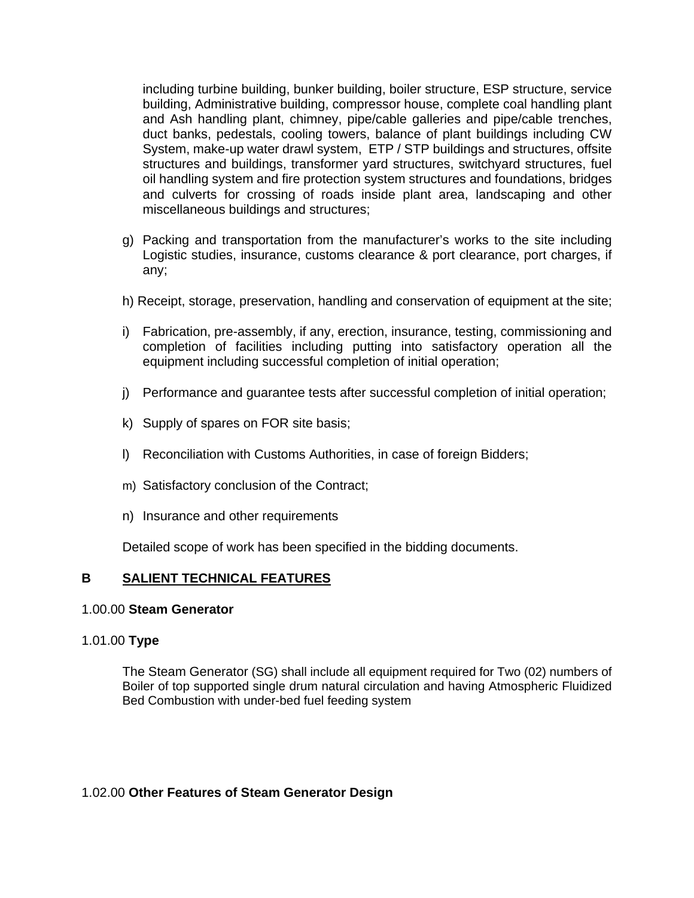including turbine building, bunker building, boiler structure, ESP structure, service building, Administrative building, compressor house, complete coal handling plant and Ash handling plant, chimney, pipe/cable galleries and pipe/cable trenches, duct banks, pedestals, cooling towers, balance of plant buildings including CW System, make-up water drawl system, ETP / STP buildings and structures, offsite structures and buildings, transformer yard structures, switchyard structures, fuel oil handling system and fire protection system structures and foundations, bridges and culverts for crossing of roads inside plant area, landscaping and other miscellaneous buildings and structures;

- g) Packing and transportation from the manufacturer's works to the site including Logistic studies, insurance, customs clearance & port clearance, port charges, if any;
- h) Receipt, storage, preservation, handling and conservation of equipment at the site;
- i) Fabrication, pre-assembly, if any, erection, insurance, testing, commissioning and completion of facilities including putting into satisfactory operation all the equipment including successful completion of initial operation;
- j) Performance and guarantee tests after successful completion of initial operation;
- k) Supply of spares on FOR site basis;
- l) Reconciliation with Customs Authorities, in case of foreign Bidders;
- m) Satisfactory conclusion of the Contract;
- n) Insurance and other requirements

Detailed scope of work has been specified in the bidding documents.

# **B** SALIENT TECHNICAL FEATURES

# 1.00.00 **Steam Generator**

# 1.01.00 **Type**

The Steam Generator (SG) shall include all equipment required for Two (02) numbers of Boiler of top supported single drum natural circulation and having Atmospheric Fluidized Bed Combustion with under-bed fuel feeding system

# 1.02.00 **Other Features of Steam Generator Design**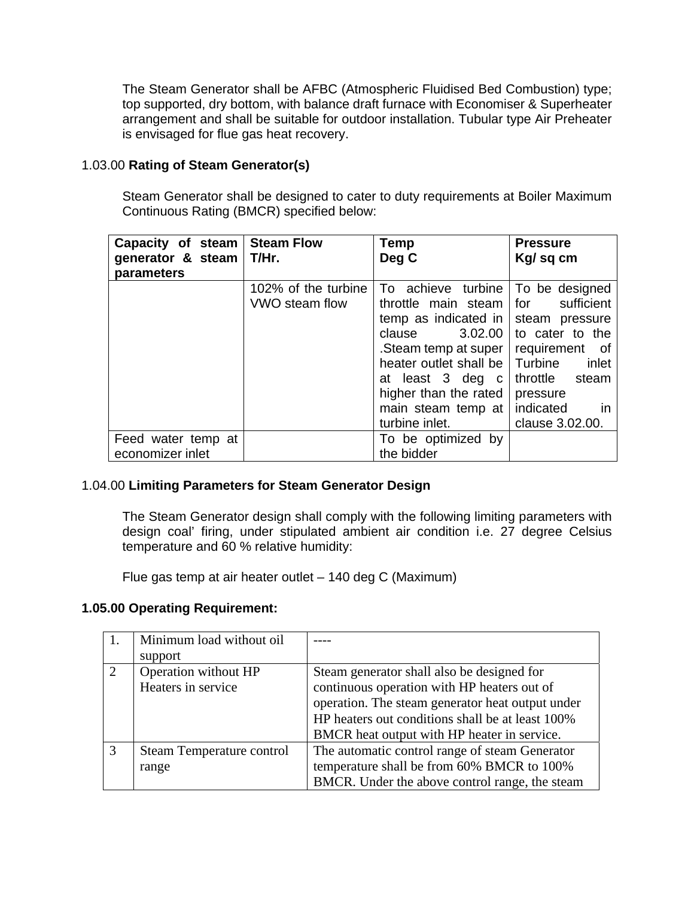The Steam Generator shall be AFBC (Atmospheric Fluidised Bed Combustion) type; top supported, dry bottom, with balance draft furnace with Economiser & Superheater arrangement and shall be suitable for outdoor installation. Tubular type Air Preheater is envisaged for flue gas heat recovery.

# 1.03.00 **Rating of Steam Generator(s)**

Steam Generator shall be designed to cater to duty requirements at Boiler Maximum Continuous Rating (BMCR) specified below:

| Capacity of steam<br>generator & steam $\vert$ T/Hr.<br>parameters | <b>Steam Flow</b>   | Temp<br>Deg C          | <b>Pressure</b><br>Kg/sq cm |
|--------------------------------------------------------------------|---------------------|------------------------|-----------------------------|
|                                                                    | 102% of the turbine | To achieve turbine     | To be designed              |
|                                                                    | VWO steam flow      | throttle main steam    | for<br>sufficient           |
|                                                                    |                     | temp as indicated in   | steam pressure              |
|                                                                    |                     | 3.02.00<br>clause      | to cater to the             |
|                                                                    |                     | Steam temp at super    | requirement of              |
|                                                                    |                     | heater outlet shall be | Turbine<br>inlet            |
|                                                                    |                     | at least 3 deg c       | throttle<br>steam           |
|                                                                    |                     | higher than the rated  | pressure                    |
|                                                                    |                     | main steam temp at     | indicated<br>- in           |
|                                                                    |                     | turbine inlet.         | clause 3.02.00.             |
| Feed water temp at                                                 |                     | To be optimized by     |                             |
| economizer inlet                                                   |                     | the bidder             |                             |

# 1.04.00 **Limiting Parameters for Steam Generator Design**

The Steam Generator design shall comply with the following limiting parameters with design coal' firing, under stipulated ambient air condition i.e. 27 degree Celsius temperature and 60 % relative humidity:

Flue gas temp at air heater outlet – 140 deg C (Maximum)

# **1.05.00 Operating Requirement:**

|               | Minimum load without oil  |                                                  |
|---------------|---------------------------|--------------------------------------------------|
|               | support                   |                                                  |
| 2             | Operation without HP      | Steam generator shall also be designed for       |
|               | Heaters in service        | continuous operation with HP heaters out of      |
|               |                           | operation. The steam generator heat output under |
|               |                           | HP heaters out conditions shall be at least 100% |
|               |                           | BMCR heat output with HP heater in service.      |
| $\mathcal{R}$ | Steam Temperature control | The automatic control range of steam Generator   |
|               | range                     | temperature shall be from 60% BMCR to 100%       |
|               |                           | BMCR. Under the above control range, the steam   |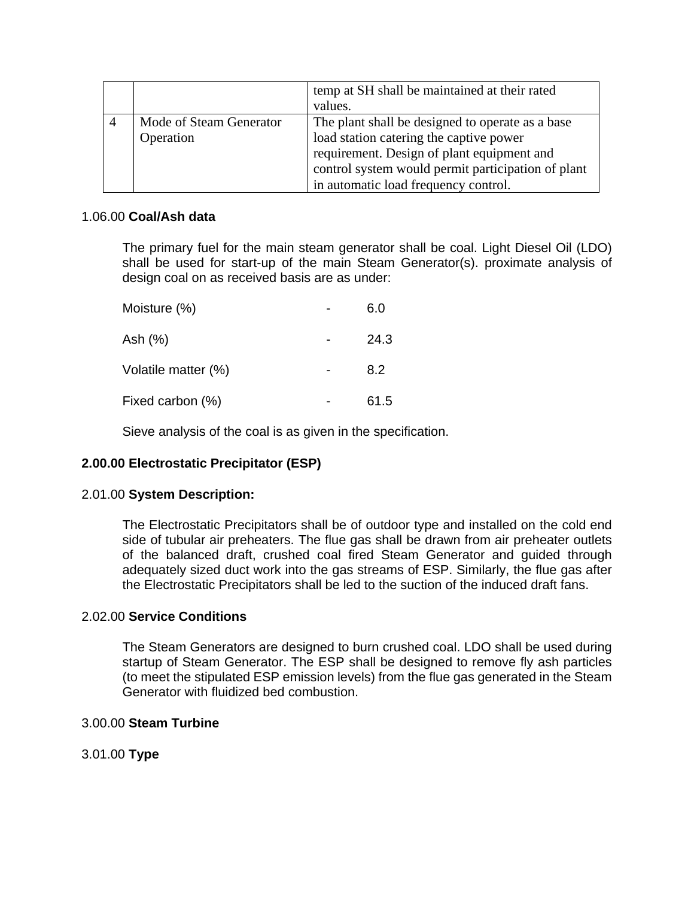|                         | temp at SH shall be maintained at their rated<br>values. |
|-------------------------|----------------------------------------------------------|
| Mode of Steam Generator | The plant shall be designed to operate as a base         |
| Operation               | load station catering the captive power                  |
|                         | requirement. Design of plant equipment and               |
|                         | control system would permit participation of plant       |
|                         | in automatic load frequency control.                     |

## 1.06.00 **Coal/Ash data**

The primary fuel for the main steam generator shall be coal. Light Diesel Oil (LDO) shall be used for start-up of the main Steam Generator(s). proximate analysis of design coal on as received basis are as under:

| Moisture (%)        | 6.0  |
|---------------------|------|
| Ash (%)             | 24.3 |
| Volatile matter (%) | 8.2  |
| Fixed carbon (%)    | 61.5 |

Sieve analysis of the coal is as given in the specification.

# **2.00.00 Electrostatic Precipitator (ESP)**

# 2.01.00 **System Description:**

The Electrostatic Precipitators shall be of outdoor type and installed on the cold end side of tubular air preheaters. The flue gas shall be drawn from air preheater outlets of the balanced draft, crushed coal fired Steam Generator and guided through adequately sized duct work into the gas streams of ESP. Similarly, the flue gas after the Electrostatic Precipitators shall be led to the suction of the induced draft fans.

# 2.02.00 **Service Conditions**

The Steam Generators are designed to burn crushed coal. LDO shall be used during startup of Steam Generator. The ESP shall be designed to remove fly ash particles (to meet the stipulated ESP emission levels) from the flue gas generated in the Steam Generator with fluidized bed combustion.

# 3.00.00 **Steam Turbine**

3.01.00 **Type**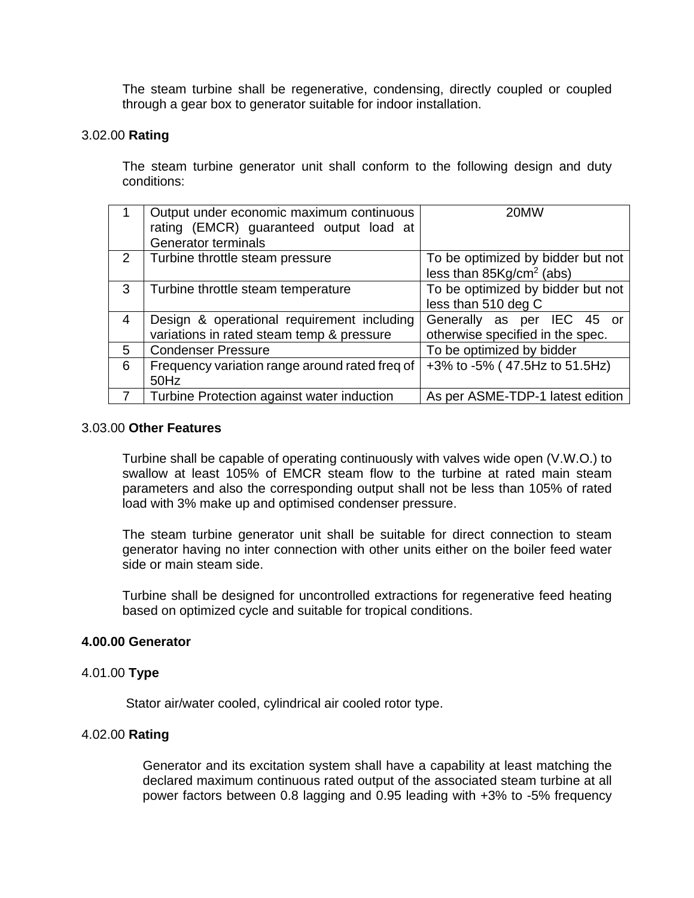The steam turbine shall be regenerative, condensing, directly coupled or coupled through a gear box to generator suitable for indoor installation.

#### 3.02.00 **Rating**

The steam turbine generator unit shall conform to the following design and duty conditions:

|   | Output under economic maximum continuous<br>rating (EMCR) guaranteed output load at<br><b>Generator terminals</b> | 20MW                                                                    |
|---|-------------------------------------------------------------------------------------------------------------------|-------------------------------------------------------------------------|
| 2 | Turbine throttle steam pressure                                                                                   | To be optimized by bidder but not<br>less than $85\text{Kg/cm}^2$ (abs) |
| 3 | Turbine throttle steam temperature                                                                                | To be optimized by bidder but not<br>less than 510 deg C                |
| 4 | Design & operational requirement including<br>variations in rated steam temp & pressure                           | Generally as per IEC 45 or<br>otherwise specified in the spec.          |
| 5 | <b>Condenser Pressure</b>                                                                                         | To be optimized by bidder                                               |
| 6 | Frequency variation range around rated freq of<br>50Hz                                                            | +3% to -5% (47.5Hz to 51.5Hz)                                           |
|   | Turbine Protection against water induction                                                                        | As per ASME-TDP-1 latest edition                                        |

#### 3.03.00 **Other Features**

Turbine shall be capable of operating continuously with valves wide open (V.W.O.) to swallow at least 105% of EMCR steam flow to the turbine at rated main steam parameters and also the corresponding output shall not be less than 105% of rated load with 3% make up and optimised condenser pressure.

The steam turbine generator unit shall be suitable for direct connection to steam generator having no inter connection with other units either on the boiler feed water side or main steam side.

Turbine shall be designed for uncontrolled extractions for regenerative feed heating based on optimized cycle and suitable for tropical conditions.

#### **4.00.00 Generator**

#### 4.01.00 **Type**

Stator air/water cooled, cylindrical air cooled rotor type.

#### 4.02.00 **Rating**

Generator and its excitation system shall have a capability at least matching the declared maximum continuous rated output of the associated steam turbine at all power factors between 0.8 lagging and 0.95 leading with +3% to -5% frequency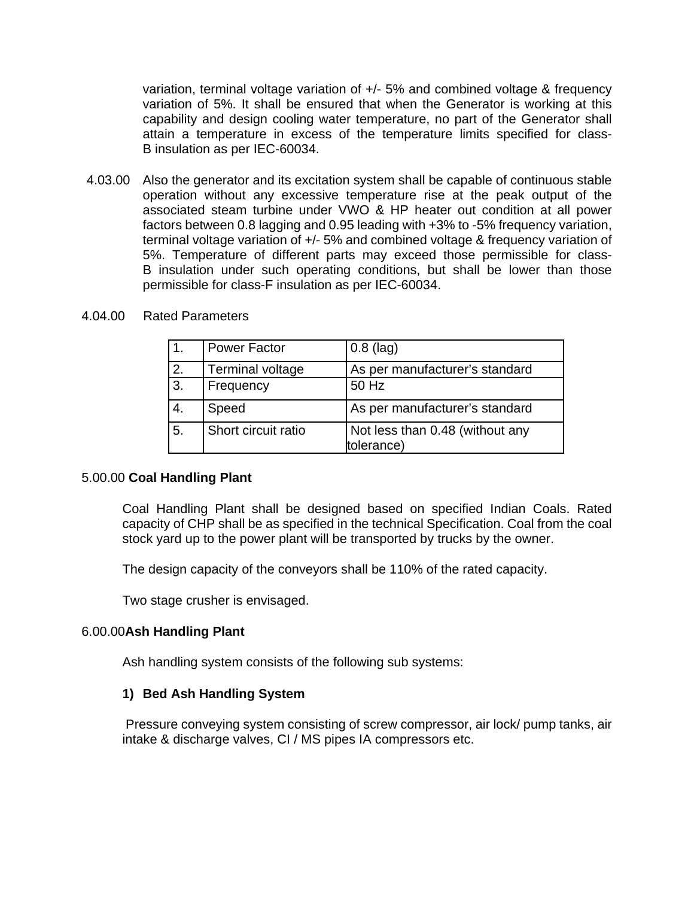variation, terminal voltage variation of +/- 5% and combined voltage & frequency variation of 5%. It shall be ensured that when the Generator is working at this capability and design cooling water temperature, no part of the Generator shall attain a temperature in excess of the temperature limits specified for class-B insulation as per IEC-60034.

4.03.00 Also the generator and its excitation system shall be capable of continuous stable operation without any excessive temperature rise at the peak output of the associated steam turbine under VWO & HP heater out condition at all power factors between 0.8 lagging and 0.95 leading with +3% to -5% frequency variation, terminal voltage variation of +/- 5% and combined voltage & frequency variation of 5%. Temperature of different parts may exceed those permissible for class-B insulation under such operating conditions, but shall be lower than those permissible for class-F insulation as per IEC-60034.

|    | <b>Power Factor</b>     | $0.8$ (lag)                                   |
|----|-------------------------|-----------------------------------------------|
| 2. | <b>Terminal voltage</b> | As per manufacturer's standard                |
| 3. | Frequency               | 50 Hz                                         |
| 4. | Speed                   | As per manufacturer's standard                |
| 5. | Short circuit ratio     | Not less than 0.48 (without any<br>tolerance) |

#### 4.04.00 Rated Parameters

#### 5.00.00 **Coal Handling Plant**

Coal Handling Plant shall be designed based on specified Indian Coals. Rated capacity of CHP shall be as specified in the technical Specification. Coal from the coal stock yard up to the power plant will be transported by trucks by the owner.

The design capacity of the conveyors shall be 110% of the rated capacity.

Two stage crusher is envisaged.

#### 6.00.00**Ash Handling Plant**

Ash handling system consists of the following sub systems:

#### **1) Bed Ash Handling System**

Pressure conveying system consisting of screw compressor, air lock/ pump tanks, air intake & discharge valves, CI / MS pipes IA compressors etc.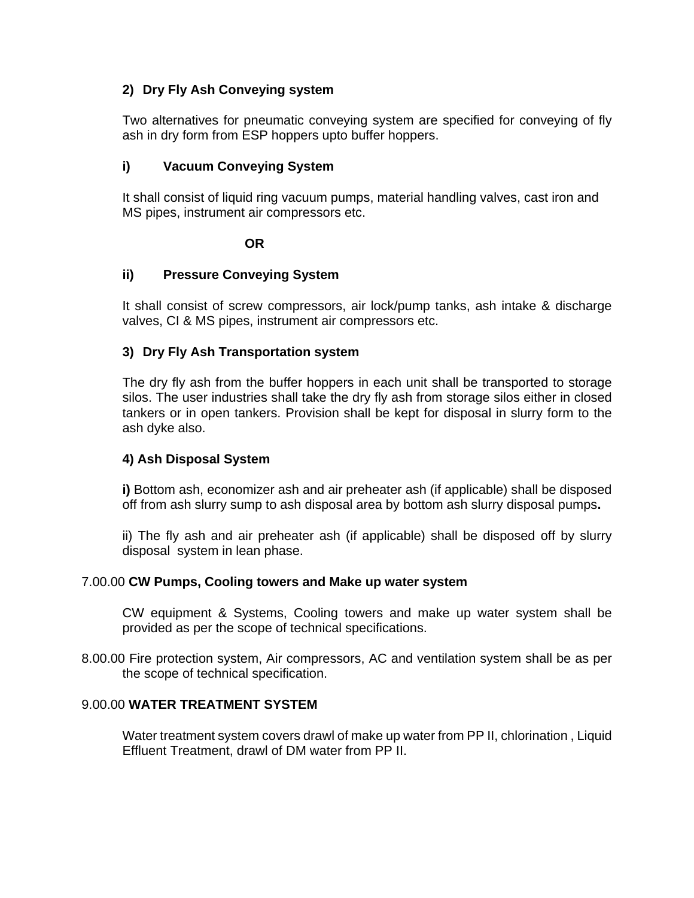# **2) Dry Fly Ash Conveying system**

Two alternatives for pneumatic conveying system are specified for conveying of fly ash in dry form from ESP hoppers upto buffer hoppers.

# **i) Vacuum Conveying System**

It shall consist of liquid ring vacuum pumps, material handling valves, cast iron and MS pipes, instrument air compressors etc.

**OR** 

# **ii) Pressure Conveying System**

It shall consist of screw compressors, air lock/pump tanks, ash intake & discharge valves, CI & MS pipes, instrument air compressors etc.

# **3) Dry Fly Ash Transportation system**

The dry fly ash from the buffer hoppers in each unit shall be transported to storage silos. The user industries shall take the dry fly ash from storage silos either in closed tankers or in open tankers. Provision shall be kept for disposal in slurry form to the ash dyke also.

# **4) Ash Disposal System**

**i)** Bottom ash, economizer ash and air preheater ash (if applicable) shall be disposed off from ash slurry sump to ash disposal area by bottom ash slurry disposal pumps**.**

ii) The fly ash and air preheater ash (if applicable) shall be disposed off by slurry disposal system in lean phase.

# 7.00.00 **CW Pumps, Cooling towers and Make up water system**

CW equipment & Systems, Cooling towers and make up water system shall be provided as per the scope of technical specifications.

8.00.00 Fire protection system, Air compressors, AC and ventilation system shall be as per the scope of technical specification.

# 9.00.00 **WATER TREATMENT SYSTEM**

Water treatment system covers drawl of make up water from PP II, chlorination , Liquid Effluent Treatment, drawl of DM water from PP II.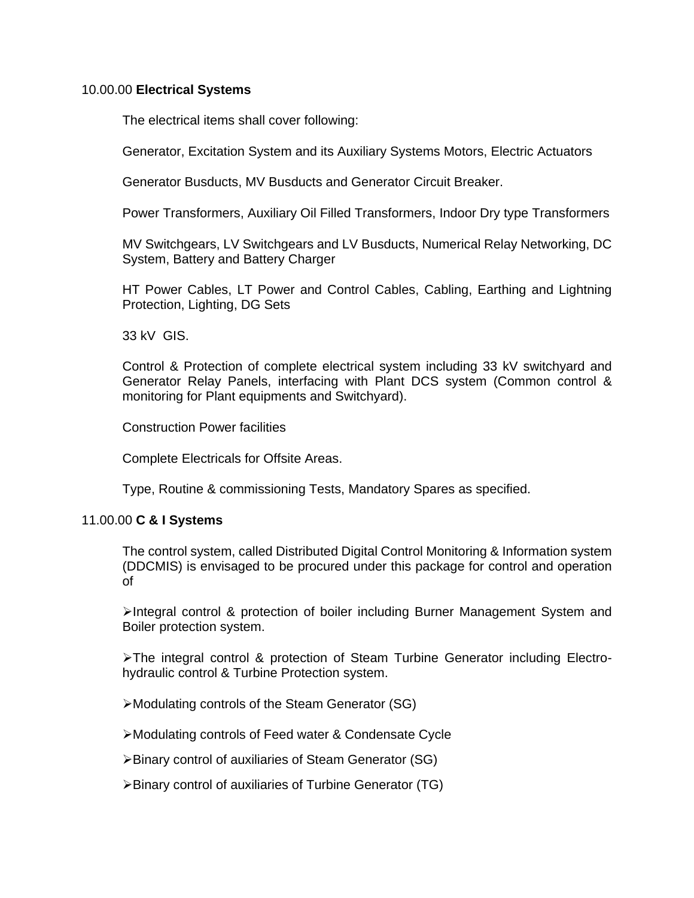## 10.00.00 **Electrical Systems**

The electrical items shall cover following:

Generator, Excitation System and its Auxiliary Systems Motors, Electric Actuators

Generator Busducts, MV Busducts and Generator Circuit Breaker.

Power Transformers, Auxiliary Oil Filled Transformers, Indoor Dry type Transformers

MV Switchgears, LV Switchgears and LV Busducts, Numerical Relay Networking, DC System, Battery and Battery Charger

HT Power Cables, LT Power and Control Cables, Cabling, Earthing and Lightning Protection, Lighting, DG Sets

33 kV GIS.

Control & Protection of complete electrical system including 33 kV switchyard and Generator Relay Panels, interfacing with Plant DCS system (Common control & monitoring for Plant equipments and Switchyard).

Construction Power facilities

Complete Electricals for Offsite Areas.

Type, Routine & commissioning Tests, Mandatory Spares as specified.

#### 11.00.00 **C & I Systems**

The control system, called Distributed Digital Control Monitoring & Information system (DDCMIS) is envisaged to be procured under this package for control and operation of

¾Integral control & protection of boiler including Burner Management System and Boiler protection system.

¾The integral control & protection of Steam Turbine Generator including Electrohydraulic control & Turbine Protection system.

¾Modulating controls of the Steam Generator (SG)

¾Modulating controls of Feed water & Condensate Cycle

¾Binary control of auxiliaries of Steam Generator (SG)

¾Binary control of auxiliaries of Turbine Generator (TG)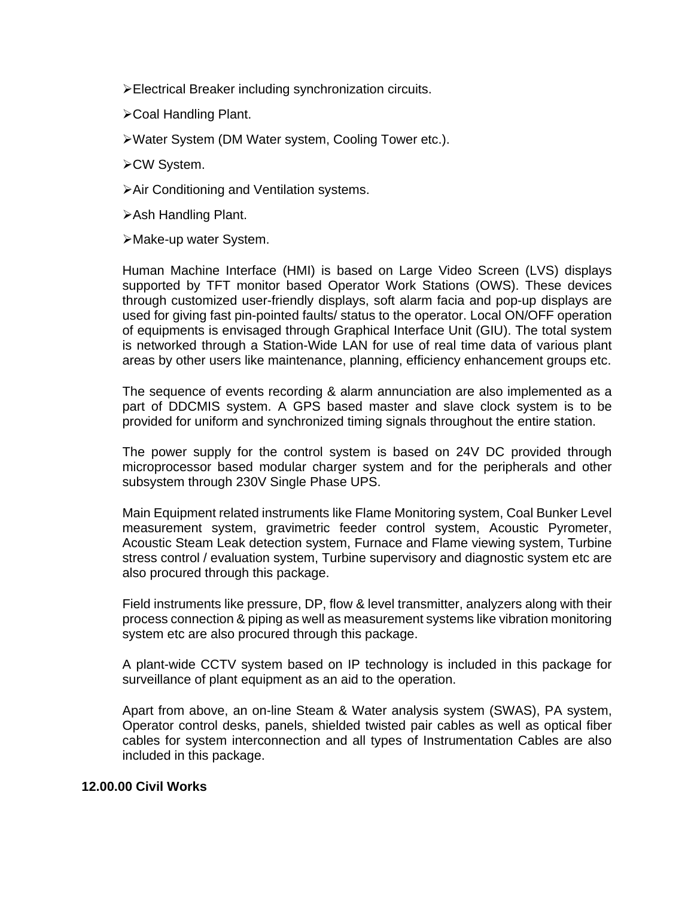¾Electrical Breaker including synchronization circuits.

- ¾Coal Handling Plant.
- ¾Water System (DM Water system, Cooling Tower etc.).
- ¾CW System.
- ¾Air Conditioning and Ventilation systems.
- ¾Ash Handling Plant.
- ¾Make-up water System.

Human Machine Interface (HMI) is based on Large Video Screen (LVS) displays supported by TFT monitor based Operator Work Stations (OWS). These devices through customized user-friendly displays, soft alarm facia and pop-up displays are used for giving fast pin-pointed faults/ status to the operator. Local ON/OFF operation of equipments is envisaged through Graphical Interface Unit (GIU). The total system is networked through a Station-Wide LAN for use of real time data of various plant areas by other users like maintenance, planning, efficiency enhancement groups etc.

The sequence of events recording & alarm annunciation are also implemented as a part of DDCMIS system. A GPS based master and slave clock system is to be provided for uniform and synchronized timing signals throughout the entire station.

The power supply for the control system is based on 24V DC provided through microprocessor based modular charger system and for the peripherals and other subsystem through 230V Single Phase UPS.

Main Equipment related instruments like Flame Monitoring system, Coal Bunker Level measurement system, gravimetric feeder control system, Acoustic Pyrometer, Acoustic Steam Leak detection system, Furnace and Flame viewing system, Turbine stress control / evaluation system, Turbine supervisory and diagnostic system etc are also procured through this package.

Field instruments like pressure, DP, flow & level transmitter, analyzers along with their process connection & piping as well as measurement systems like vibration monitoring system etc are also procured through this package.

A plant-wide CCTV system based on IP technology is included in this package for surveillance of plant equipment as an aid to the operation.

Apart from above, an on-line Steam & Water analysis system (SWAS), PA system, Operator control desks, panels, shielded twisted pair cables as well as optical fiber cables for system interconnection and all types of Instrumentation Cables are also included in this package.

#### **12.00.00 Civil Works**